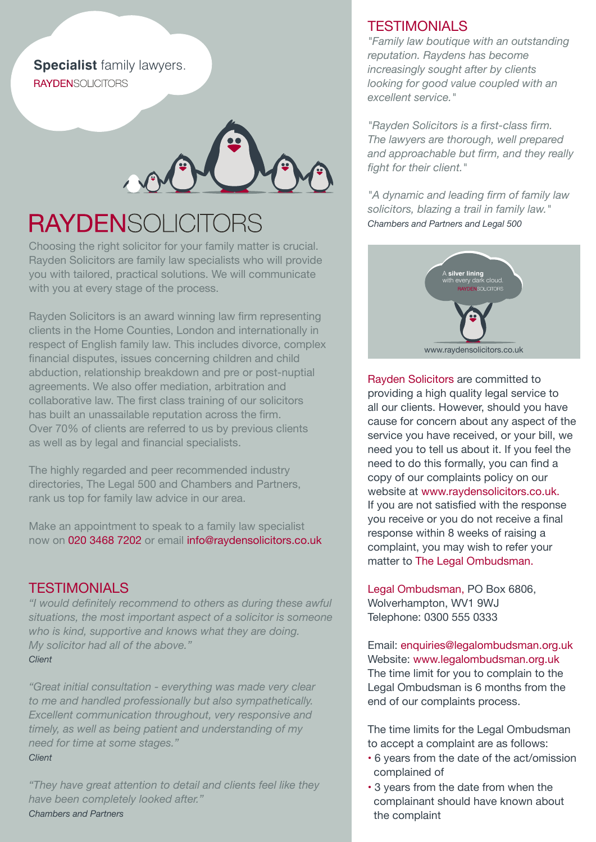**Specialist** family lawyers. **RAYDENSOLICITORS** 



# **RAYDENSOLICITORS**

Choosing the right solicitor for your family matter is crucial. Rayden Solicitors are family law specialists who will provide you with tailored, practical solutions. We will communicate with you at every stage of the process.

Rayden Solicitors is an award winning law firm representing clients in the Home Counties, London and internationally in respect of English family law. This includes divorce, complex financial disputes, issues concerning children and child abduction, relationship breakdown and pre or post-nuptial agreements. We also offer mediation, arbitration and collaborative law. The first class training of our solicitors has built an unassailable reputation across the firm. Over 70% of clients are referred to us by previous clients as well as by legal and financial specialists.

The highly regarded and peer recommended industry directories, The Legal 500 and Chambers and Partners, rank us top for family law advice in our area.

Make an appointment to speak to a family law specialist now on 020 3468 7202 or email info@raydensolicitors.co.uk

#### **TESTIMONIALS**

*"I would definitely recommend to others as during these awful situations, the most important aspect of a solicitor is someone who is kind, supportive and knows what they are doing. My solicitor had all of the above." Client*

*"Great initial consultation - everything was made very clear to me and handled professionally but also sympathetically. Excellent communication throughout, very responsive and timely, as well as being patient and understanding of my need for time at some stages." Client* 

*"They have great attention to detail and clients feel like they have been completely looked after." Chambers and Partners*

#### **TESTIMONIALS**

*"Family law boutique with an outstanding reputation. Raydens has become increasingly sought after by clients looking for good value coupled with an excellent service."* 

*"Rayden Solicitors is a first-class firm. The lawyers are thorough, well prepared and approachable but firm, and they really fight for their client."*

*"A dynamic and leading firm of family law solicitors, blazing a trail in family law." Chambers and Partners and Legal 500*



Rayden Solicitors are committed to providing a high quality legal service to all our clients. However, should you have cause for concern about any aspect of the service you have received, or your bill, we need you to tell us about it. If you feel the need to do this formally, you can find a copy of our complaints policy on our website at www.raydensolicitors.co.uk. If you are not satisfied with the response you receive or you do not receive a final response within 8 weeks of raising a complaint, you may wish to refer your matter to The Legal Ombudsman.

Legal Ombudsman, PO Box 6806, Wolverhampton, WV1 9WJ Telephone: 0300 555 0333

Email: enquiries@legalombudsman.org.uk Website: www.legalombudsman.org.uk The time limit for you to complain to the Legal Ombudsman is 6 months from the end of our complaints process.

The time limits for the Legal Ombudsman to accept a complaint are as follows:

- 6 years from the date of the act/omission complained of
- 3 years from the date from when the complainant should have known about the complaint